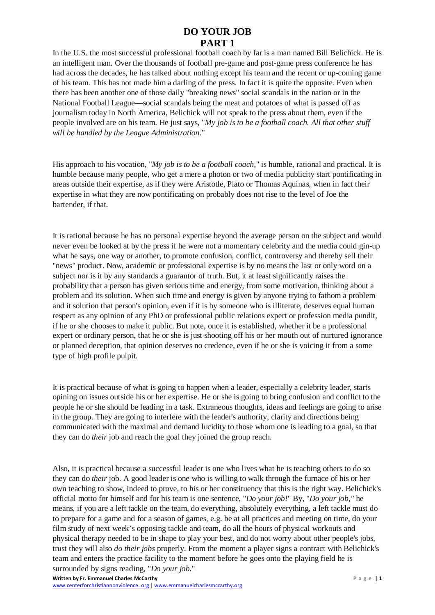## **DO YOUR JOB PART 1**

In the U.S. the most successful professional football coach by far is a man named Bill Belichick. He is an intelligent man. Over the thousands of football pre-game and post-game press conference he has had across the decades, he has talked about nothing except his team and the recent or up-coming game of his team. This has not made him a darling of the press. In fact it is quite the opposite. Even when there has been another one of those daily "breaking news" social scandals in the nation or in the National Football League—social scandals being the meat and potatoes of what is passed off as journalism today in North America, Belichick will not speak to the press about them, even if the people involved are on his team. He just says, "*My job is to be a football coach. All that other stuff will be handled by the League Administration.*"

His approach to his vocation, "*My job is to be a football coach*," is humble, rational and practical. It is humble because many people, who get a mere a photon or two of media publicity start pontificating in areas outside their expertise, as if they were Aristotle, Plato or Thomas Aquinas, when in fact their expertise in what they are now pontificating on probably does not rise to the level of Joe the bartender, if that.

It is rational because he has no personal expertise beyond the average person on the subject and would never even be looked at by the press if he were not a momentary celebrity and the media could gin-up what he says, one way or another, to promote confusion, conflict, controversy and thereby sell their "news" product. Now, academic or professional expertise is by no means the last or only word on a subject nor is it by any standards a guarantor of truth. But, it at least significantly raises the probability that a person has given serious time and energy, from some motivation, thinking about a problem and its solution. When such time and energy is given by anyone trying to fathom a problem and it solution that person's opinion, even if it is by someone who is illiterate, deserves equal human respect as any opinion of any PhD or professional public relations expert or profession media pundit, if he or she chooses to make it public. But note, once it is established, whether it be a professional expert or ordinary person, that he or she is just shooting off his or her mouth out of nurtured ignorance or planned deception, that opinion deserves no credence, even if he or she is voicing it from a some type of high profile pulpit.

It is practical because of what is going to happen when a leader, especially a celebrity leader, starts opining on issues outside his or her expertise. He or she is going to bring confusion and conflict to the people he or she should be leading in a task. Extraneous thoughts, ideas and feelings are going to arise in the group. They are going to interfere with the leader's authority, clarity and directions being communicated with the maximal and demand lucidity to those whom one is leading to a goal, so that they can do *their* job and reach the goal they joined the group reach.

Also, it is practical because a successful leader is one who lives what he is teaching others to do so they can do *their* job. A good leader is one who is willing to walk through the furnace of his or her own teaching to show, indeed to prove, to his or her constituency that this is the right way. Belichick's official motto for himself and for his team is one sentence, "*Do your job!*" By, "*Do your job,"* he means, if you are a left tackle on the team, do everything, absolutely everything, a left tackle must do to prepare for a game and for a season of games, e.g. be at all practices and meeting on time, do your film study of next week's opposing tackle and team, do all the hours of physical workouts and physical therapy needed to be in shape to play your best, and do not worry about other people's jobs, trust they will also *do their jobs* properly. From the moment a player signs a contract with Belichick's team and enters the practice facility to the moment before he goes onto the playing field he is surrounded by signs reading, "*Do your job*."